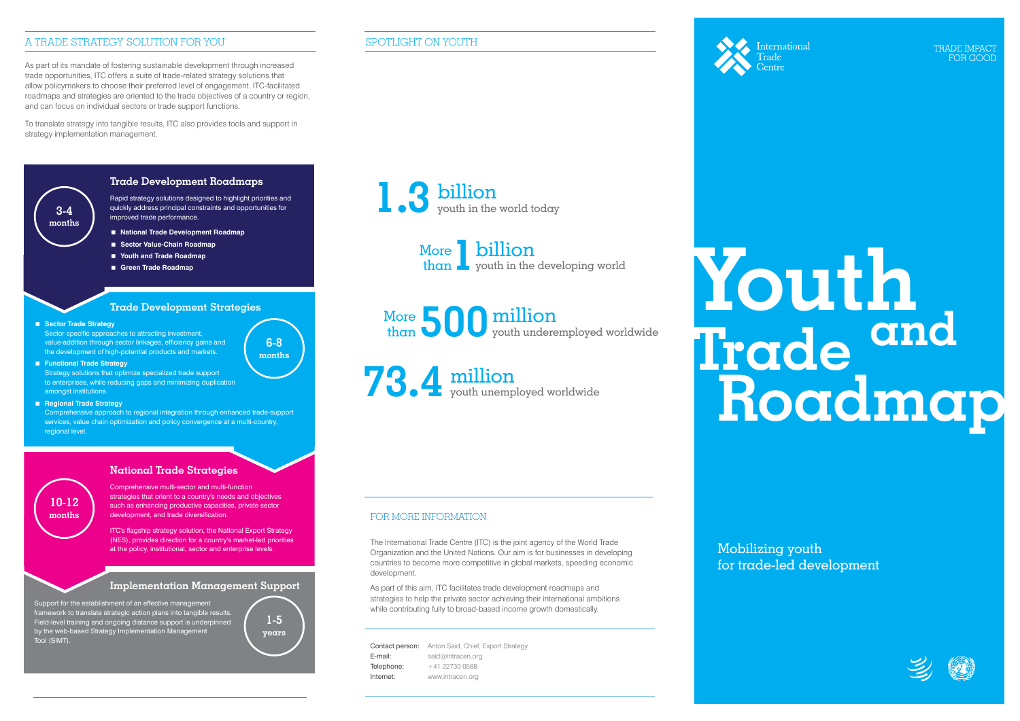# FOR MORE INFORMATION

The International Trade Centre (ITC) is the joint agency of the World Trade Organization and the United Nations. Our aim is for businesses in developing countries to become more competitive in global markets, speeding economic development.

As part of this aim, ITC facilitates trade development roadmaps and strategies to help the private sector achieving their international ambitions while contributing fully to broad-based income growth domestically.

Contact person: Anton Said, Chief, Export Strategy E-mail: said@intracen.org Telephone: +41 22730 0588 Internet: www.intracen.org

**International** 

TRADE IMPAC' FOR GOOD

# SPOTLIGHT ON YOUTH



**1** billion than **L** youth in the developing world More

**500** million youth underemployed worldwide More than

**73.4** million youth unemployed worldwide

# A TRADE STRATEGY SOLUTION FOR YOU

As part of its mandate of fostering sustainable development through increased trade opportunities, ITC offers a suite of trade-related strategy solutions that allow policymakers to choose their preferred level of engagement. ITC-facilitated roadmaps and strategies are oriented to the trade objectives of a country or region, and can focus on individual sectors or trade support functions.

To translate strategy into tangible results, ITC also provides tools and support in strategy implementation management.



Support for the establishment of an effective management framework to translate strategic action plans into tangible results, Field-level training and ongoing distance support is underpinned by the web-based Strategy Implementation Management Tool (SIMT).



# **National Trade Strategies**

Comprehensive multi-sector and multi-function strategies that orient to a country's needs and objectives such as enhancing productive capacities, private sector development, and trade diversification.

ITC's flagship strategy solution, the National Export Strategy (NES), provides direction for a country's market-led priorities at the policy, institutional, sector and enterprise levels.

# **10-12 months**

# **Implementation Management Support**

# **Youthand Trade Roadmap**

Mobilizing youth for trade-led development